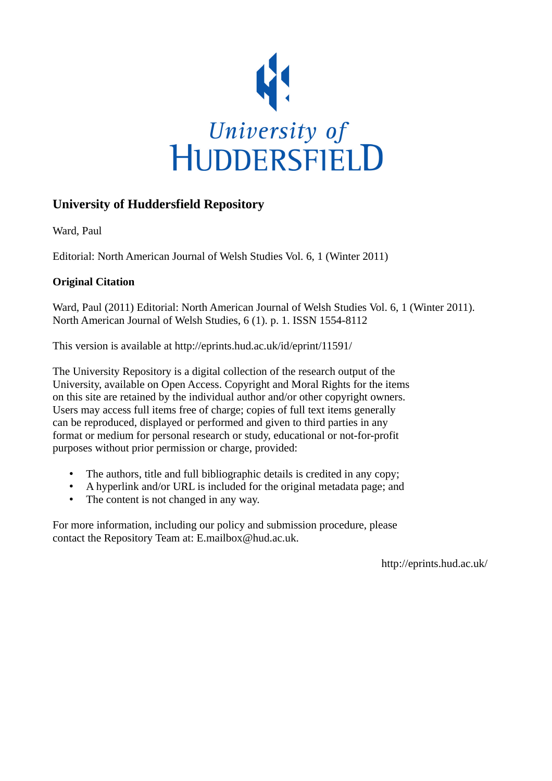

## **University of Huddersfield Repository**

Ward, Paul

Editorial: North American Journal of Welsh Studies Vol. 6, 1 (Winter 2011)

## **Original Citation**

Ward, Paul (2011) Editorial: North American Journal of Welsh Studies Vol. 6, 1 (Winter 2011). North American Journal of Welsh Studies, 6 (1). p. 1. ISSN 1554-8112

This version is available at http://eprints.hud.ac.uk/id/eprint/11591/

The University Repository is a digital collection of the research output of the University, available on Open Access. Copyright and Moral Rights for the items on this site are retained by the individual author and/or other copyright owners. Users may access full items free of charge; copies of full text items generally can be reproduced, displayed or performed and given to third parties in any format or medium for personal research or study, educational or not-for-profit purposes without prior permission or charge, provided:

- The authors, title and full bibliographic details is credited in any copy;
- A hyperlink and/or URL is included for the original metadata page; and
- The content is not changed in any way.

For more information, including our policy and submission procedure, please contact the Repository Team at: E.mailbox@hud.ac.uk.

http://eprints.hud.ac.uk/